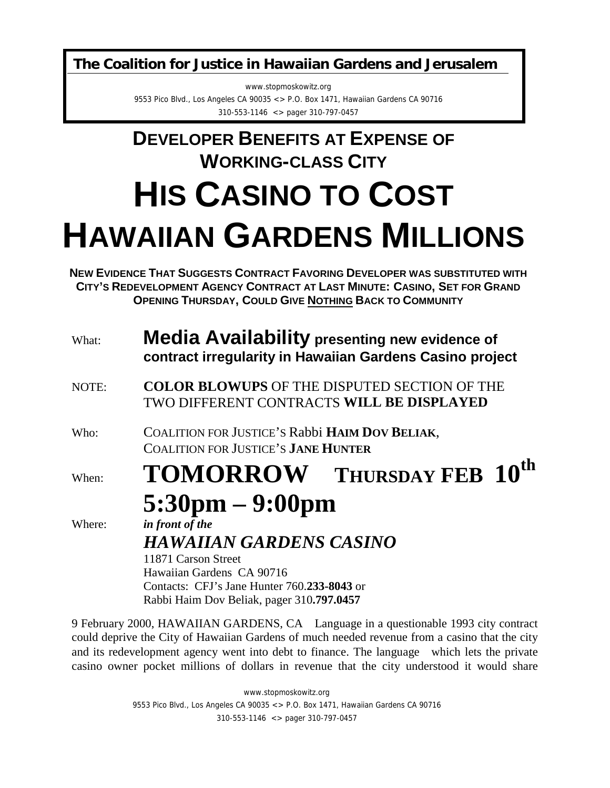**The Coalition for Justice in Hawaiian Gardens and Jerusalem**

www.stopmoskowitz.org 9553 Pico Blvd., Los Angeles CA 90035 <> P.O. Box 1471, Hawaiian Gardens CA 90716 310-553-1146 <> pager 310-797-0457

## **DEVELOPER BENEFITS AT EXPENSE OF WORKING-CLASS CITY HIS CASINO TO COST HAWAIIAN GARDENS MILLIONS**

**NEW EVIDENCE THAT SUGGESTS CONTRACT FAVORING DEVELOPER WAS SUBSTITUTED WITH CITY'S REDEVELOPMENT AGENCY CONTRACT AT LAST MINUTE: CASINO, SET FOR GRAND OPENING THURSDAY, COULD GIVE NOTHING BACK TO COMMUNITY**

| What:  | <b>Media Availability presenting new evidence of</b><br>contract irregularity in Hawaiian Gardens Casino project                                                                                  |
|--------|---------------------------------------------------------------------------------------------------------------------------------------------------------------------------------------------------|
| NOTE:  | <b>COLOR BLOWUPS OF THE DISPUTED SECTION OF THE</b><br>TWO DIFFERENT CONTRACTS WILL BE DISPLAYED                                                                                                  |
| Who:   | COALITION FOR JUSTICE'S Rabbi HAIM DOV BELIAK,<br><b>COALITION FOR JUSTICE'S JANE HUNTER</b>                                                                                                      |
| When:  | TOMORROW-THURSDAY FEB 10 <sup>th</sup>                                                                                                                                                            |
|        | $5:30 \text{pm} - 9:00 \text{pm}$                                                                                                                                                                 |
| Where: | in front of the<br><b>HAWAIIAN GARDENS CASINO</b><br>11871 Carson Street<br>Hawaiian Gardens CA 90716<br>Contacts: CFJ's Jane Hunter 760.233-8043 or<br>Rabbi Haim Dov Beliak, pager 310.797.0457 |
|        |                                                                                                                                                                                                   |

9 February 2000, HAWAIIAN GARDENS, CA—Language in a questionable 1993 city contract could deprive the City of Hawaiian Gardens of much needed revenue from a casino that the city and its redevelopment agency went into debt to finance. The language—which lets the private casino owner pocket millions of dollars in revenue that the city understood it would share

> www.stopmoskowitz.org 9553 Pico Blvd., Los Angeles CA 90035 <> P.O. Box 1471, Hawaiian Gardens CA 90716 310-553-1146 <> pager 310-797-0457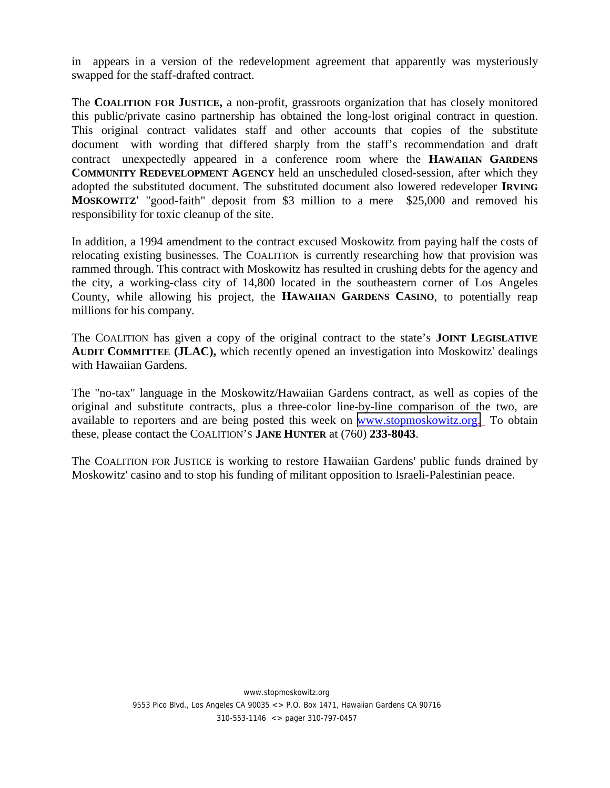in—appears in a version of the redevelopment agreement that apparently was mysteriously swapped for the staff-drafted contract.

The **COALITION FOR JUSTICE,** a non-profit, grassroots organization that has closely monitored this public/private casino partnership has obtained the long-lost original contract in question. This original contract validates staff and other accounts that copies of the substitute document—with wording that differed sharply from the staff's recommendation and draft contract—unexpectedly appeared in a conference room where the **HAWAIIAN GARDENS COMMUNITY REDEVELOPMENT AGENCY** held an unscheduled closed-session, after which they adopted the substituted document. The substituted document also lowered redeveloper **IRVING MOSKOWITZ'** "good-faith" deposit from \$3 million to a mere \$25,000 and removed his responsibility for toxic cleanup of the site.

In addition, a 1994 amendment to the contract excused Moskowitz from paying half the costs of relocating existing businesses. The COALITION is currently researching how that provision was rammed through. This contract with Moskowitz has resulted in crushing debts for the agency and the city, a working-class city of 14,800 located in the southeastern corner of Los Angeles County, while allowing his project, the **HAWAIIAN GARDENS CASINO**, to potentially reap millions for his company.

The COALITION has given a copy of the original contract to the state's **JOINT LEGISLATIVE AUDIT COMMITTEE (JLAC),** which recently opened an investigation into Moskowitz' dealings with Hawaiian Gardens.

The "no-tax" language in the Moskowitz/Hawaiian Gardens contract, as well as copies of the original and substitute contracts, plus a three-color line-by-line comparison of the two, are available to reporters and are being posted this week on [www.stopmoskowitz.org.](http://www.stopmoskowitz.org/) To obtain these, please contact the COALITION'S **JANE HUNTER** at (760) **233-8043**.

The COALITION FOR JUSTICE is working to restore Hawaiian Gardens' public funds drained by Moskowitz' casino and to stop his funding of militant opposition to Israeli-Palestinian peace.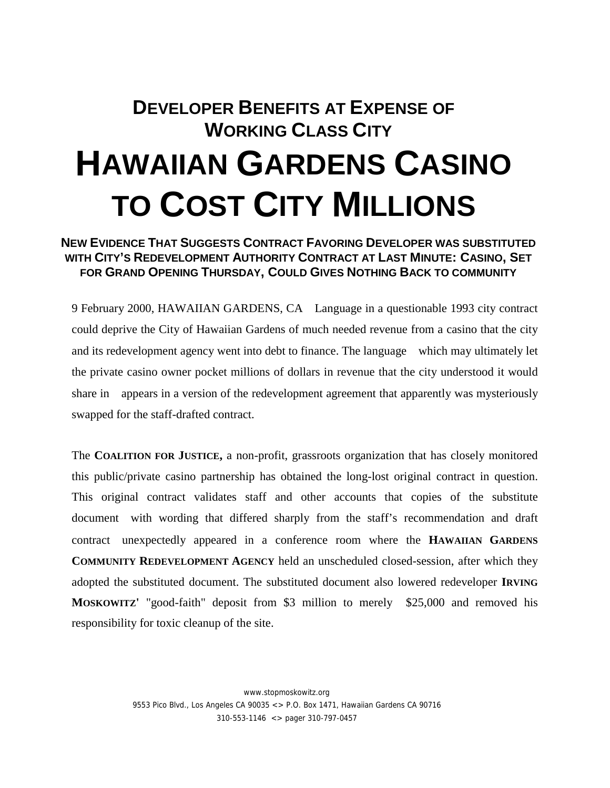## **DEVELOPER BENEFITS AT EXPENSE OF WORKING CLASS CITY HAWAIIAN GARDENS CASINO TO COST CITY MILLIONS**

## **NEW EVIDENCE THAT SUGGESTS CONTRACT FAVORING DEVELOPER WAS SUBSTITUTED WITH CITY'S REDEVELOPMENT AUTHORITY CONTRACT AT LAST MINUTE: CASINO, SET FOR GRAND OPENING THURSDAY, COULD GIVES NOTHING BACK TO COMMUNITY**

9 February 2000, HAWAIIAN GARDENS, CA—Language in a questionable 1993 city contract could deprive the City of Hawaiian Gardens of much needed revenue from a casino that the city and its redevelopment agency went into debt to finance. The language—which may ultimately let the private casino owner pocket millions of dollars in revenue that the city understood it would share in—appears in a version of the redevelopment agreement that apparently was mysteriously swapped for the staff-drafted contract.

The **COALITION FOR JUSTICE,** a non-profit, grassroots organization that has closely monitored this public/private casino partnership has obtained the long-lost original contract in question. This original contract validates staff and other accounts that copies of the substitute document—with wording that differed sharply from the staff's recommendation and draft contract—unexpectedly appeared in a conference room where the **HAWAIIAN GARDENS COMMUNITY REDEVELOPMENT AGENCY** held an unscheduled closed-session, after which they adopted the substituted document. The substituted document also lowered redeveloper **IRVING MOSKOWITZ'** "good-faith" deposit from \$3 million to merely \$25,000 and removed his responsibility for toxic cleanup of the site.